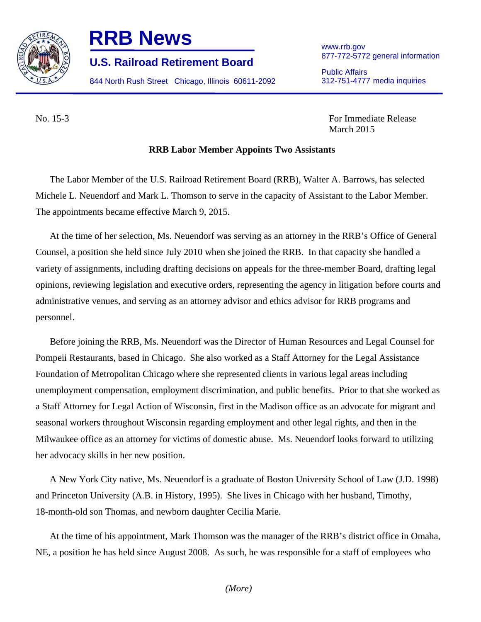

## **RRB News** www.rrb.gov

877-772-5772 general information **U.S. Railroad Retirement Board** 

844 North Rush Street Chicago, Illinois 60611-2092 312-751-4777 media inquiries

Public Affairs

No. 15-3 For Immediate Release March 2015

## **RRB Labor Member Appoints Two Assistants**

The Labor Member of the U.S. Railroad Retirement Board (RRB), Walter A. Barrows, has selected Michele L. Neuendorf and Mark L. Thomson to serve in the capacity of Assistant to the Labor Member. The appointments became effective March 9, 2015.

At the time of her selection, Ms. Neuendorf was serving as an attorney in the RRB's Office of General Counsel, a position she held since July 2010 when she joined the RRB. In that capacity she handled a variety of assignments, including drafting decisions on appeals for the three-member Board, drafting legal opinions, reviewing legislation and executive orders, representing the agency in litigation before courts and administrative venues, and serving as an attorney advisor and ethics advisor for RRB programs and personnel.

Before joining the RRB, Ms. Neuendorf was the Director of Human Resources and Legal Counsel for Pompeii Restaurants, based in Chicago. She also worked as a Staff Attorney for the Legal Assistance Foundation of Metropolitan Chicago where she represented clients in various legal areas including unemployment compensation, employment discrimination, and public benefits. Prior to that she worked as a Staff Attorney for Legal Action of Wisconsin, first in the Madison office as an advocate for migrant and seasonal workers throughout Wisconsin regarding employment and other legal rights, and then in the Milwaukee office as an attorney for victims of domestic abuse. Ms. Neuendorf looks forward to utilizing her advocacy skills in her new position.

A New York City native, Ms. Neuendorf is a graduate of Boston University School of Law (J.D. 1998) and Princeton University (A.B. in History, 1995). She lives in Chicago with her husband, Timothy, 18-month-old son Thomas, and newborn daughter Cecilia Marie.

At the time of his appointment, Mark Thomson was the manager of the RRB's district office in Omaha, NE, a position he has held since August 2008. As such, he was responsible for a staff of employees who